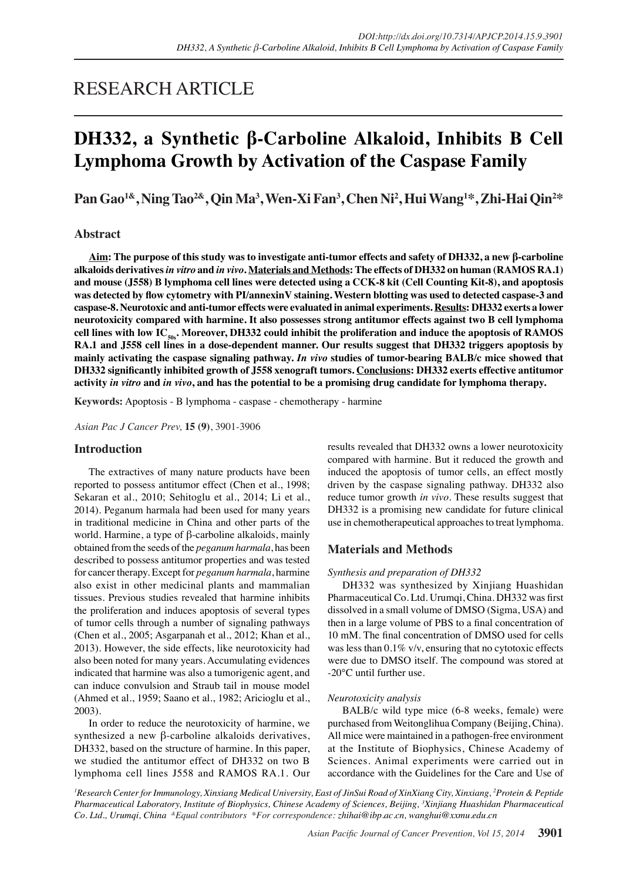## RESEARCH ARTICLE

# **DH332, a Synthetic β-Carboline Alkaloid, Inhibits B Cell Lymphoma Growth by Activation of the Caspase Family**

**Pan Gao1&, Ning Tao2&, Qin Ma3 , Wen-Xi Fan<sup>3</sup> , Chen Ni<sup>2</sup> , Hui Wang<sup>1</sup> \*, Zhi-Hai Qin2 \***

## **Abstract**

**Aim: The purpose of this study was to investigate anti-tumor effects and safety of DH332, a new β-carboline alkaloids derivatives** *in vitro* **and** *in vivo***. Materials and Methods: The effects of DH332 on human (RAMOS RA.1) and mouse (J558) B lymphoma cell lines were detected using a CCK-8 kit (Cell Counting Kit-8), and apoptosis was detected by flow cytometry with PI/annexinV staining. Western blotting was used to detected caspase-3 and caspase-8. Neurotoxic and anti-tumor effects were evaluated in animal experiments. Results: DH332 exerts a lower neurotoxicity compared with harmine. It also possesses strong antitumor effects against two B cell lymphoma**  cell lines with low IC<sub>50s</sub>. Moreover, DH332 could inhibit the proliferation and induce the apoptosis of RAMOS **RA.1 and J558 cell lines in a dose-dependent manner. Our results suggest that DH332 triggers apoptosis by mainly activating the caspase signaling pathway.** *In vivo* **studies of tumor-bearing BALB/c mice showed that DH332 significantly inhibited growth of J558 xenograft tumors. Conclusions: DH332 exerts effective antitumor activity** *in vitro* **and** *in vivo***, and has the potential to be a promising drug candidate for lymphoma therapy.**

**Keywords:** Apoptosis - B lymphoma - caspase - chemotherapy - harmine

*Asian Pac J Cancer Prev,* **15 (9)**, 3901-3906

## **Introduction**

The extractives of many nature products have been reported to possess antitumor effect (Chen et al., 1998; Sekaran et al., 2010; Sehitoglu et al., 2014; Li et al., 2014). Peganum harmala had been used for many years in traditional medicine in China and other parts of the world. Harmine, a type of β-carboline alkaloids, mainly obtained from the seeds of the *peganum harmala*, has been described to possess antitumor properties and was tested for cancer therapy. Except for *peganum harmala*, harmine also exist in other medicinal plants and mammalian tissues. Previous studies revealed that harmine inhibits the proliferation and induces apoptosis of several types of tumor cells through a number of signaling pathways (Chen et al., 2005; Asgarpanah et al., 2012; Khan et al., 2013). However, the side effects, like neurotoxicity had also been noted for many years. Accumulating evidences indicated that harmine was also a tumorigenic agent, and can induce convulsion and Straub tail in mouse model (Ahmed et al., 1959; Saano et al., 1982; Aricioglu et al., 2003).

In order to reduce the neurotoxicity of harmine, we synthesized a new β-carboline alkaloids derivatives, DH332, based on the structure of harmine. In this paper, we studied the antitumor effect of DH332 on two B lymphoma cell lines J558 and RAMOS RA.1. Our results revealed that DH332 owns a lower neurotoxicity compared with harmine. But it reduced the growth and induced the apoptosis of tumor cells, an effect mostly driven by the caspase signaling pathway. DH332 also reduce tumor growth *in vivo*. These results suggest that DH332 is a promising new candidate for future clinical use in chemotherapeutical approaches to treat lymphoma.

## **Materials and Methods**

#### *Synthesis and preparation of DH332*

DH332 was synthesized by Xinjiang Huashidan Pharmaceutical Co. Ltd. Urumqi, China. DH332 was first dissolved in a small volume of DMSO (Sigma, USA) and then in a large volume of PBS to a final concentration of 10 mM. The final concentration of DMSO used for cells was less than 0.1% v/v, ensuring that no cytotoxic effects were due to DMSO itself. The compound was stored at -20°C until further use.

### *Neurotoxicity analysis*

BALB/c wild type mice (6-8 weeks, female) were purchased from Weitonglihua Company (Beijing, China). All mice were maintained in a pathogen-free environment at the Institute of Biophysics, Chinese Academy of Sciences. Animal experiments were carried out in accordance with the Guidelines for the Care and Use of

*1 Research Center for Immunology, Xinxiang Medical University, East of JinSui Road of XinXiang City, Xinxiang, 2 Protein & Peptide Pharmaceutical Laboratory, Institute of Biophysics, Chinese Academy of Sciences, Beijing, 3 Xinjiang Huashidan Pharmaceutical Co. Ltd., Urumqi, China &Equal contributors \*For correspondence: zhihai@ibp.ac.cn, wanghui@xxmu.edu.cn*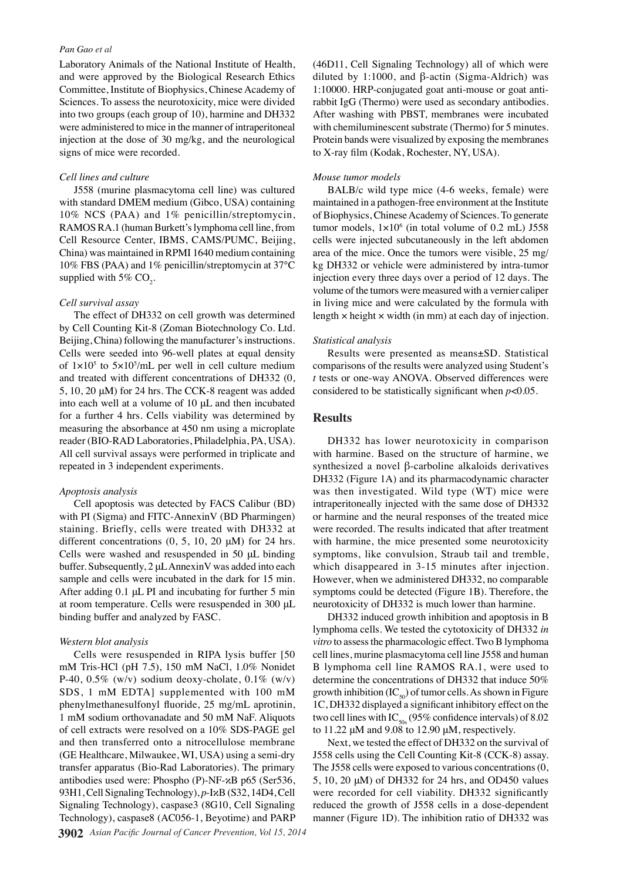#### *Pan Gao et al*

Laboratory Animals of the National Institute of Health, and were approved by the Biological Research Ethics Committee, Institute of Biophysics, Chinese Academy of Sciences. To assess the neurotoxicity, mice were divided into two groups (each group of 10), harmine and DH332 were administered to mice in the manner of intraperitoneal injection at the dose of 30 mg/kg, and the neurological signs of mice were recorded.

## *Cell lines and culture*

J558 (murine plasmacytoma cell line) was cultured with standard DMEM medium (Gibco, USA) containing 10% NCS (PAA) and 1% penicillin/streptomycin, RAMOS RA.1 (human Burkett's lymphoma cell line, from Cell Resource Center, IBMS, CAMS/PUMC, Beijing, China) was maintained in RPMI 1640 medium containing 10% FBS (PAA) and 1% penicillin/streptomycin at 37°C supplied with 5%  $\mathrm{CO}_2$ .

#### *Cell survival assay*

The effect of DH332 on cell growth was determined by Cell Counting Kit-8 (Zoman Biotechnology Co. Ltd. Beijing, China) following the manufacturer's instructions. Cells were seeded into 96-well plates at equal density of  $1 \times 10^5$  to  $5 \times 10^5$ /mL per well in cell culture medium and treated with different concentrations of DH332 (0, 5, 10, 20 μM) for 24 hrs. The CCK-8 reagent was added into each well at a volume of 10 μL and then incubated for a further 4 hrs. Cells viability was determined by measuring the absorbance at 450 nm using a microplate reader (BIO-RAD Laboratories, Philadelphia, PA, USA). All cell survival assays were performed in triplicate and repeated in 3 independent experiments.

#### *Apoptosis analysis*

Cell apoptosis was detected by FACS Calibur (BD) with PI (Sigma) and FITC-AnnexinV (BD Pharmingen) staining. Briefly, cells were treated with DH332 at different concentrations  $(0, 5, 10, 20 \mu M)$  for 24 hrs. Cells were washed and resuspended in 50 μL binding buffer. Subsequently, 2 μL AnnexinV was added into each sample and cells were incubated in the dark for 15 min. After adding 0.1 μL PI and incubating for further 5 min at room temperature. Cells were resuspended in 300 μL binding buffer and analyzed by FASC.

#### *Western blot analysis*

Cells were resuspended in RIPA lysis buffer [50 mM Tris-HCl (pH 7.5), 150 mM NaCl, 1.0% Nonidet P-40,  $0.5\%$  (w/v) sodium deoxy-cholate,  $0.1\%$  (w/v) SDS, 1 mM EDTA] supplemented with 100 mM phenylmethanesulfonyl fluoride, 25 mg/mL aprotinin, 1 mM sodium orthovanadate and 50 mM NaF. Aliquots of cell extracts were resolved on a 10% SDS-PAGE gel and then transferred onto a nitrocellulose membrane (GE Healthcare, Milwaukee, WI, USA) using a semi-dry transfer apparatus (Bio-Rad Laboratories). The primary antibodies used were: Phospho (P)-NF-κB p65 (Ser536, 93H1, Cell Signaling Technology), *p*-IκB (S32, 14D4, Cell Signaling Technology), caspase3 (8G10, Cell Signaling Technology), caspase8 (AC056-1, Beyotime) and PARP

(46D11, Cell Signaling Technology) all of which were diluted by 1:1000, and β-actin (Sigma-Aldrich) was 1:10000. HRP-conjugated goat anti-mouse or goat antirabbit IgG (Thermo) were used as secondary antibodies. After washing with PBST, membranes were incubated with chemiluminescent substrate (Thermo) for 5 minutes. Protein bands were visualized by exposing the membranes to X-ray film (Kodak, Rochester, NY, USA).

## *Mouse tumor models*

BALB/c wild type mice (4-6 weeks, female) were maintained in a pathogen-free environment at the Institute of Biophysics, Chinese Academy of Sciences. To generate tumor models,  $1 \times 10^6$  (in total volume of 0.2 mL) J558 cells were injected subcutaneously in the left abdomen area of the mice. Once the tumors were visible, 25 mg/ kg DH332 or vehicle were administered by intra-tumor injection every three days over a period of 12 days. The volume of the tumors were measured with a vernier caliper in living mice and were calculated by the formula with length  $\times$  height  $\times$  width (in mm) at each day of injection.

#### *Statistical analysis*

Results were presented as means±SD. Statistical comparisons of the results were analyzed using Student's *t* tests or one-way ANOVA. Observed differences were considered to be statistically significant when *p*<0.05.

#### **Results**

DH332 has lower neurotoxicity in comparison with harmine. Based on the structure of harmine, we synthesized a novel β-carboline alkaloids derivatives DH332 (Figure 1A) and its pharmacodynamic character was then investigated. Wild type (WT) mice were intraperitoneally injected with the same dose of DH332 or harmine and the neural responses of the treated mice were recorded. The results indicated that after treatment with harmine, the mice presented some neurotoxicity symptoms, like convulsion, Straub tail and tremble, which disappeared in 3-15 minutes after injection. However, when we administered DH332, no comparable symptoms could be detected (Figure 1B). Therefore, the neurotoxicity of DH332 is much lower than harmine.

DH332 induced growth inhibition and apoptosis in B lymphoma cells. We tested the cytotoxicity of DH332 *in vitro* to assess the pharmacologic effect. Two B lymphoma cell lines, murine plasmacytoma cell line J558 and human B lymphoma cell line RAMOS RA.1, were used to determine the concentrations of DH332 that induce 50% growth inhibition  $(IC_{50})$  of tumor cells. As shown in Figure 1C, DH332 displayed a significant inhibitory effect on the two cell lines with IC<sub>50s</sub> (95% confidence intervals) of 8.02 to 11.22 μM and 9.08 to 12.90 μM, respectively.

Next, we tested the effect of DH332 on the survival of J558 cells using the Cell Counting Kit-8 (CCK-8) assay. The J558 cells were exposed to various concentrations (0, 5, 10, 20 μM) of DH332 for 24 hrs, and OD450 values were recorded for cell viability. DH332 significantly reduced the growth of J558 cells in a dose-dependent manner (Figure 1D). The inhibition ratio of DH332 was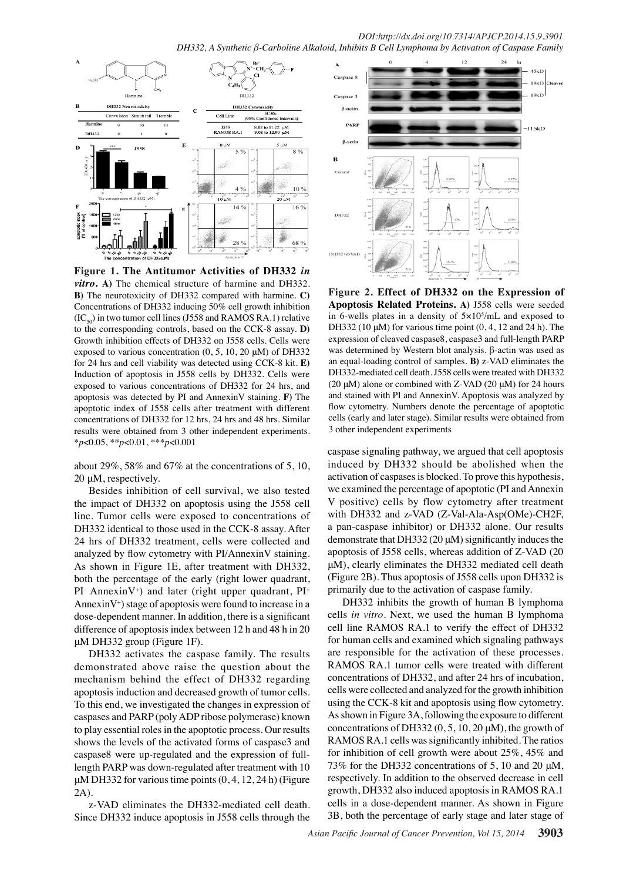*DOI:http://dx.doi.org/10.7314/APJCP.2014.15.9.3901*

*DH332, A Synthetic β-Carboline Alkaloid, Inhibits B Cell Lymphoma by Activation of Caspase Family*



**Figure 1. The Antitumor Activities of DH332** *in vitro***. A)** The chemical structure of harmine and DH332. **B)** The neurotoxicity of DH332 compared with harmine. **C)** Concentrations of DH332 inducing 50% cell growth inhibition  $(IC_{50})$  in two tumor cell lines (J558 and RAMOS RA.1) relative to the corresponding controls, based on the CCK-8 assay. **D)** Growth inhibition effects of DH332 on J558 cells. Cells were exposed to various concentration  $(0, 5, 10, 20 \mu M)$  of DH332 for 24 hrs and cell viability was detected using CCK-8 kit. **E)**  Induction of apoptosis in J558 cells by DH332. Cells were exposed to various concentrations of DH332 for 24 hrs, and apoptosis was detected by PI and AnnexinV staining. **F)** The apoptotic index of J558 cells after treatment with different concentrations of DH332 for 12 hrs, 24 hrs and 48 hrs. Similar results were obtained from 3 other independent experiments. \**p*<0.05, \*\**p*<0.01, \*\*\**p*<0.001

about 29%, 58% and 67% at the concentrations of 5, 10, 20 μM, respectively.

Besides inhibition of cell survival, we also tested the impact of DH332 on apoptosis using the J558 cell line. Tumor cells were exposed to concentrations of DH332 identical to those used in the CCK-8 assay. After 24 hrs of DH332 treatment, cells were collected and analyzed by flow cytometry with PI/AnnexinV staining. As shown in Figure 1E, after treatment with DH332, both the percentage of the early (right lower quadrant,  $PI$ <sup>-</sup> AnnexinV<sup>+</sup>) and later (right upper quadrant,  $PI$ <sup>+</sup> AnnexinV+ ) stage of apoptosis were found to increase in a dose-dependent manner. In addition, there is a significant difference of apoptosis index between 12 h and 48 h in 20 μM DH332 group (Figure 1F).

DH332 activates the caspase family. The results demonstrated above raise the question about the mechanism behind the effect of DH332 regarding apoptosis induction and decreased growth of tumor cells. To this end, we investigated the changes in expression of caspases and PARP (poly ADP ribose polymerase) known to play essential roles in the apoptotic process. Our results shows the levels of the activated forms of caspase3 and caspase8 were up-regulated and the expression of fulllength PARP was down-regulated after treatment with 10 μM DH332 for various time points  $(0, 4, 12, 24 h)$  (Figure 2A).

z-VAD eliminates the DH332-mediated cell death. Since DH332 induce apoptosis in J558 cells through the



**Figure 2. Effect of DH332 on the Expression of Apoptosis Related Proteins. A)** J558 cells were seeded in 6-wells plates in a density of  $5 \times 10^5$ /mL and exposed to DH332 (10  $\mu$ M) for various time point (0, 4, 12 and 24 h). The expression of cleaved caspase8, caspase3 and full-length PARP was determined by Western blot analysis. β-actin was used as an equal-loading control of samples. **B)** z-VAD eliminates the DH332-mediated cell death. J558 cells were treated with DH332 (20  $\mu$ M) alone or combined with Z-VAD (20  $\mu$ M) for 24 hours and stained with PI and AnnexinV. Apoptosis was analyzed by flow cytometry. Numbers denote the percentage of apoptotic cells (early and later stage). Similar results were obtained from 3 other independent experiments

caspase signaling pathway, we argued that cell apoptosis induced by DH332 should be abolished when the activation of caspases is blocked. To prove this hypothesis, we examined the percentage of apoptotic (PI and Annexin V positive) cells by flow cytometry after treatment with DH332 and z-VAD (Z-Val-Ala-Asp(OMe)-CH2F, a pan-caspase inhibitor) or DH332 alone. Our results demonstrate that DH332 (20  $\mu$ M) significantly induces the apoptosis of J558 cells, whereas addition of Z-VAD (20 μM), clearly eliminates the DH332 mediated cell death (Figure 2B). Thus apoptosis of J558 cells upon DH332 is primarily due to the activation of caspase family.

DH332 inhibits the growth of human B lymphoma cells *in vitro*. Next, we used the human B lymphoma cell line RAMOS RA.1 to verify the effect of DH332 for human cells and examined which signaling pathways are responsible for the activation of these processes. RAMOS RA.1 tumor cells were treated with different concentrations of DH332, and after 24 hrs of incubation, cells were collected and analyzed for the growth inhibition using the CCK-8 kit and apoptosis using flow cytometry. As shown in Figure 3A, following the exposure to different concentrations of DH332  $(0, 5, 10, 20 \mu M)$ , the growth of RAMOS RA.1 cells was significantly inhibited. The ratios for inhibition of cell growth were about 25%, 45% and 73% for the DH332 concentrations of 5, 10 and 20 μM, respectively. In addition to the observed decrease in cell growth, DH332 also induced apoptosis in RAMOS RA.1 cells in a dose-dependent manner. As shown in Figure 3B, both the percentage of early stage and later stage of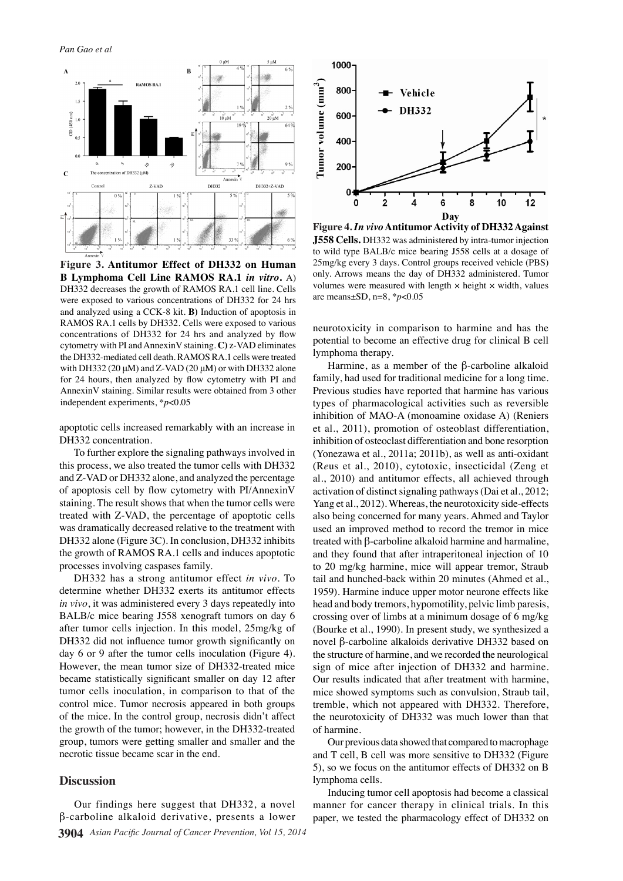

**Figure 3. Antitumor Effect of DH332 on Human B Lymphoma Cell Line RAMOS RA.1** *in vitro***.** A) DH332 decreases the growth of RAMOS RA.1 cell line. Cells were exposed to various concentrations of DH332 for 24 hrs and analyzed using a CCK-8 kit. **B)** Induction of apoptosis in RAMOS RA.1 cells by DH332. Cells were exposed to various concentrations of DH332 for 24 hrs and analyzed by flow cytometry with PI and AnnexinV staining. **C)** z-VAD eliminates the DH332-mediated cell death. RAMOS RA.1 cells were treated with DH332 (20  $\mu$ M) and Z-VAD (20  $\mu$ M) or with DH332 alone for 24 hours, then analyzed by flow cytometry with PI and AnnexinV staining. Similar results were obtained from 3 other independent experiments, \**p*<0.05

apoptotic cells increased remarkably with an increase in DH332 concentration.

To further explore the signaling pathways involved in this process, we also treated the tumor cells with DH332 and Z-VAD or DH332 alone, and analyzed the percentage of apoptosis cell by flow cytometry with PI/AnnexinV staining. The result shows that when the tumor cells were treated with Z-VAD, the percentage of apoptotic cells was dramatically decreased relative to the treatment with DH332 alone (Figure 3C). In conclusion, DH332 inhibits the growth of RAMOS RA.1 cells and induces apoptotic processes involving caspases family.

DH332 has a strong antitumor effect *in vivo*. To determine whether DH332 exerts its antitumor effects *in vivo*, it was administered every 3 days repeatedly into BALB/c mice bearing J558 xenograft tumors on day 6 after tumor cells injection. In this model, 25mg/kg of DH332 did not influence tumor growth significantly on day 6 or 9 after the tumor cells inoculation (Figure 4). However, the mean tumor size of DH332-treated mice became statistically significant smaller on day 12 after tumor cells inoculation, in comparison to that of the control mice. Tumor necrosis appeared in both groups of the mice. In the control group, necrosis didn't affect the growth of the tumor; however, in the DH332-treated group, tumors were getting smaller and smaller and the necrotic tissue became scar in the end.

#### **Discussion**

**3904** *Asian Pacific Journal of Cancer Prevention, Vol 15, 2014* Our findings here suggest that DH332, a novel β-carboline alkaloid derivative, presents a lower



**Figure 4.** *In vivo* **Antitumor Activity of DH332 Against J558 Cells.** DH332 was administered by intra-tumor injection to wild type BALB/c mice bearing J558 cells at a dosage of 25mg/kg every 3 days. Control groups received vehicle (PBS) only. Arrows means the day of DH332 administered. Tumor volumes were measured with length  $\times$  height  $\times$  width, values are means±SD, n=8, \**p*<0.05

neurotoxicity in comparison to harmine and has the potential to become an effective drug for clinical B cell lymphoma therapy.

Harmine, as a member of the β-carboline alkaloid family, had used for traditional medicine for a long time. Previous studies have reported that harmine has various types of pharmacological activities such as reversible inhibition of MAO-A (monoamine oxidase A) (Reniers et al., 2011), promotion of osteoblast differentiation, inhibition of osteoclast differentiation and bone resorption (Yonezawa et al., 2011a; 2011b), as well as anti-oxidant (R*e*us et al., 2010), cytotoxic, insecticidal (Zeng et al., 2010) and antitumor effects, all achieved through activation of distinct signaling pathways (Dai et al., 2012; Yang et al., 2012). Whereas, the neurotoxicity side-effects also being concerned for many years. Ahmed and Taylor used an improved method to record the tremor in mice treated with β-carboline alkaloid harmine and harmaline, and they found that after intraperitoneal injection of 10 to 20 mg/kg harmine, mice will appear tremor, Straub tail and hunched-back within 20 minutes (Ahmed et al., 1959). Harmine induce upper motor neurone effects like head and body tremors, hypomotility, pelvic limb paresis, crossing over of limbs at a minimum dosage of 6 mg/kg (Bourke et al., 1990). In present study, we synthesized a novel β-carboline alkaloids derivative DH332 based on the structure of harmine, and we recorded the neurological sign of mice after injection of DH332 and harmine. Our results indicated that after treatment with harmine, mice showed symptoms such as convulsion, Straub tail, tremble, which not appeared with DH332. Therefore, the neurotoxicity of DH332 was much lower than that of harmine.

Our previous data showed that compared to macrophage and T cell, B cell was more sensitive to DH332 (Figure 5), so we focus on the antitumor effects of DH332 on B lymphoma cells.

Inducing tumor cell apoptosis had become a classical manner for cancer therapy in clinical trials. In this paper, we tested the pharmacology effect of DH332 on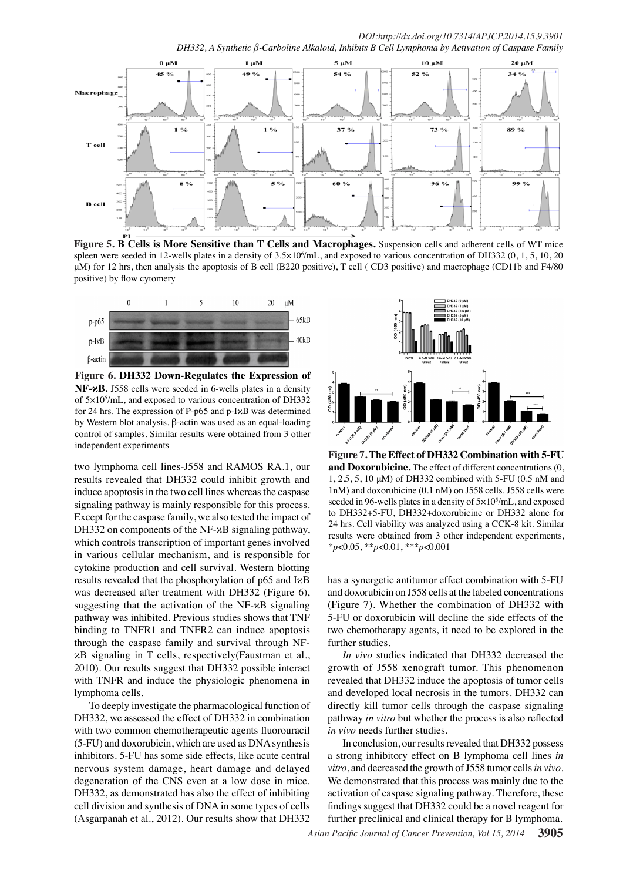*DOI:http://dx.doi.org/10.7314/APJCP.2014.15.9.3901 DH332, A Synthetic β-Carboline Alkaloid, Inhibits B Cell Lymphoma by Activation of Caspase Family*



**Figure 5. B Cells is More Sensitive than T Cells and Macrophages.** Suspension cells and adherent cells of WT mice spleen were seeded in 12-wells plates in a density of  $3.5 \times 10^6$ /mL, and exposed to various concentration of DH332 (0, 1, 5, 10, 20 μM) for 12 hrs, then analysis the apoptosis of B cell (B220 positive), T cell ( CD3 positive) and macrophage (CD11b and F4/80 positive) by flow cytomery



**Figure 6. DH332 Down-Regulates the Expression of NF-κB.** J558 cells were seeded in 6-wells plates in a density of 5×105 /mL, and exposed to various concentration of DH332 for 24 hrs. The expression of P-p65 and p-IκB was determined by Western blot analysis. β-actin was used as an equal-loading control of samples. Similar results were obtained from 3 other independent experiments

two lymphoma cell lines-J558 and RAMOS RA.1, our results revealed that DH332 could inhibit growth and induce apoptosis in the two cell lines whereas the caspase signaling pathway is mainly responsible for this process. Except for the caspase family, we also tested the impact of DH332 on components of the NF-κB signaling pathway, which controls transcription of important genes involved in various cellular mechanism, and is responsible for cytokine production and cell survival. Western blotting results revealed that the phosphorylation of p65 and IκB was decreased after treatment with DH332 (Figure 6), suggesting that the activation of the NF-κB signaling pathway was inhibited. Previous studies shows that TNF binding to TNFR1 and TNFR2 can induce apoptosis through the caspase family and survival through NFκB signaling in T cells, respectively(Faustman et al., 2010). Our results suggest that DH332 possible interact with TNFR and induce the physiologic phenomena in lymphoma cells.

To deeply investigate the pharmacological function of DH332, we assessed the effect of DH332 in combination with two common chemotherapeutic agents fluorouracil (5-FU) and doxorubicin, which are used as DNA synthesis inhibitors. 5-FU has some side effects, like acute central nervous system damage, heart damage and delayed degeneration of the CNS even at a low dose in mice. DH332, as demonstrated has also the effect of inhibiting cell division and synthesis of DNA in some types of cells (Asgarpanah et al., 2012). Our results show that DH332



**Figure 7. The Effect of DH332 Combination with 5-FU and Doxorubicine.** The effect of different concentrations (0, 1, 2.5, 5, 10 μM) of DH332 combined with 5-FU (0.5 nM and 1nM) and doxorubicine (0.1 nM) on J558 cells. J558 cells were seeded in 96-wells plates in a density of  $5 \times 10^5$ /mL, and exposed to DH332+5-FU, DH332+doxorubicine or DH332 alone for 24 hrs. Cell viability was analyzed using a CCK-8 kit. Similar results were obtained from 3 other independent experiments, \**p*<0.05, \*\**p*<0.01, \*\*\**p*<0.001

has a synergetic antitumor effect combination with 5-FU and doxorubicin on J558 cells at the labeled concentrations (Figure 7). Whether the combination of DH332 with 5-FU or doxorubicin will decline the side effects of the two chemotherapy agents, it need to be explored in the further studies.

*In vivo* studies indicated that DH332 decreased the growth of J558 xenograft tumor. This phenomenon revealed that DH332 induce the apoptosis of tumor cells and developed local necrosis in the tumors. DH332 can directly kill tumor cells through the caspase signaling pathway *in vitro* but whether the process is also reflected *in vivo* needs further studies.

In conclusion, our results revealed that DH332 possess a strong inhibitory effect on B lymphoma cell lines *in vitro*, and decreased the growth of J558 tumor cells *in vivo*. We demonstrated that this process was mainly due to the activation of caspase signaling pathway. Therefore, these findings suggest that DH332 could be a novel reagent for further preclinical and clinical therapy for B lymphoma.